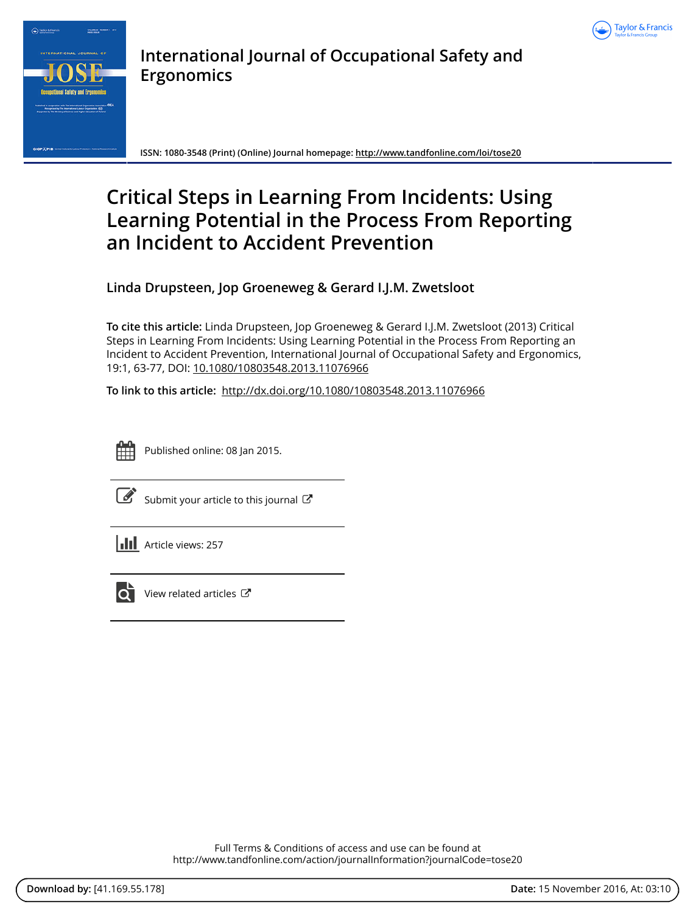



**International Journal of Occupational Safety and Ergonomics**

**ISSN: 1080-3548 (Print) (Online) Journal homepage:<http://www.tandfonline.com/loi/tose20>**

# **Critical Steps in Learning From Incidents: Using Learning Potential in the Process From Reporting an Incident to Accident Prevention**

**Linda Drupsteen, Jop Groeneweg & Gerard I.J.M. Zwetsloot**

**To cite this article:** Linda Drupsteen, Jop Groeneweg & Gerard I.J.M. Zwetsloot (2013) Critical Steps in Learning From Incidents: Using Learning Potential in the Process From Reporting an Incident to Accident Prevention, International Journal of Occupational Safety and Ergonomics, 19:1, 63-77, DOI: [10.1080/10803548.2013.11076966](http://www.tandfonline.com/action/showCitFormats?doi=10.1080/10803548.2013.11076966)

**To link to this article:** <http://dx.doi.org/10.1080/10803548.2013.11076966>



Published online: 08 Jan 2015.

|--|

[Submit your article to this journal](http://www.tandfonline.com/action/authorSubmission?journalCode=tose20&show=instructions)  $\mathbb{Z}$ 

**III** Article views: 257



 $\overline{\mathbf{C}}$  [View related articles](http://www.tandfonline.com/doi/mlt/10.1080/10803548.2013.11076966)  $\mathbf{C}$ 

Full Terms & Conditions of access and use can be found at <http://www.tandfonline.com/action/journalInformation?journalCode=tose20>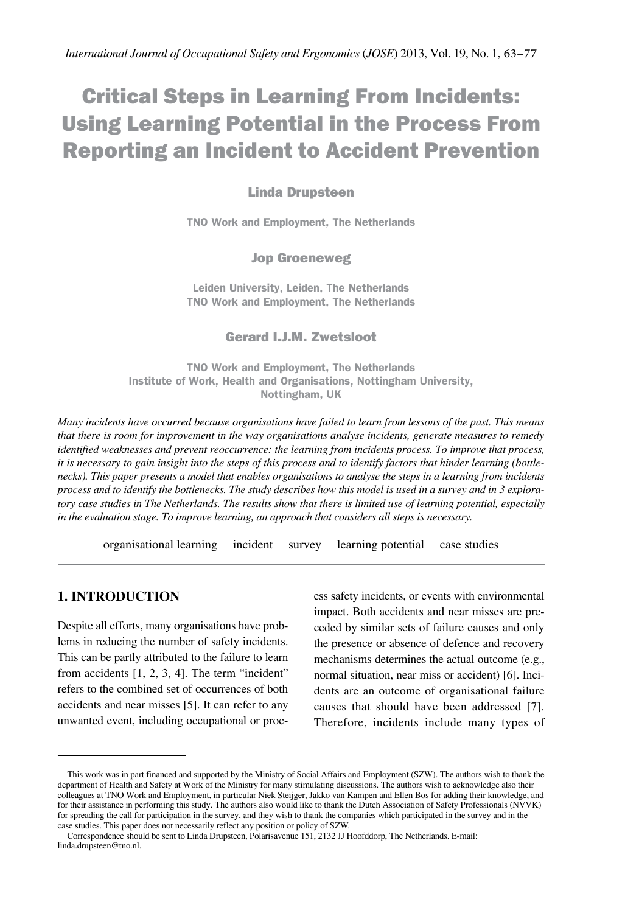# Critical Steps in Learning From Incidents: Using Learning Potential in the Process From Reporting an Incident to Accident Prevention

## Linda Drupsteen

**TNO Work and Employment, The Netherlands**

#### Jop Groeneweg

**Leiden University, Leiden, The Netherlands TNO Work and Employment, The Netherlands**

#### Gerard I.J.M. Zwetsloot

**TNO Work and Employment, The Netherlands Institute of Work, Health and Organisations, Nottingham University, Nottingham, UK**

*Many incidents have occurred because organisations have failed to learn from lessons of the past. This means that there is room for improvement in the way organisations analyse incidents, generate measures to remedy identified weaknesses and prevent reoccurrence: the learning from incidents process. To improve that process, it is necessary to gain insight into the steps of this process and to identify factors that hinder learning (bottlenecks). This paper presents a model that enables organisations to analyse the steps in a learning from incidents process and to identify the bottlenecks. The study describes how this model is used in a survey and in 3 exploratory case studies in The Netherlands. The results show that there is limited use of learning potential, especially in the evaluation stage. To improve learning, an approach that considers all steps is necessary.*

organisational learning incident survey learning potential case studies

## **1. INTRODUCTION**

Despite all efforts, many organisations have problems in reducing the number of safety incidents. This can be partly attributed to the failure to learn from accidents [1, 2, 3, 4]. The term "incident" refers to the combined set of occurrences of both accidents and near misses [5]. It can refer to any unwanted event, including occupational or proc-

ess safety incidents, or events with environmental impact. Both accidents and near misses are preceded by similar sets of failure causes and only the presence or absence of defence and recovery mechanisms determines the actual outcome (e.g., normal situation, near miss or accident) [6]. Incidents are an outcome of organisational failure causes that should have been addressed [7]. Therefore, incidents include many types of

This work was in part financed and supported by the Ministry of Social Affairs and Employment (SZW). The authors wish to thank the department of Health and Safety at Work of the Ministry for many stimulating discussions. The authors wish to acknowledge also their colleagues at TNO Work and Employment, in particular Niek Steijger, Jakko van Kampen and Ellen Bos for adding their knowledge, and for their assistance in performing this study. The authors also would like to thank the Dutch Association of Safety Professionals (NVVK) for spreading the call for participation in the survey, and they wish to thank the companies which participated in the survey and in the case studies. This paper does not necessarily reflect any position or policy of SZW.

Correspondence should be sent to Linda Drupsteen, Polarisavenue 151, 2132 JJ Hoofddorp, The Netherlands. E-mail: [linda.drupsteen@tno.nl](mailto:linda.drupsteen%40tno.nl?subject=).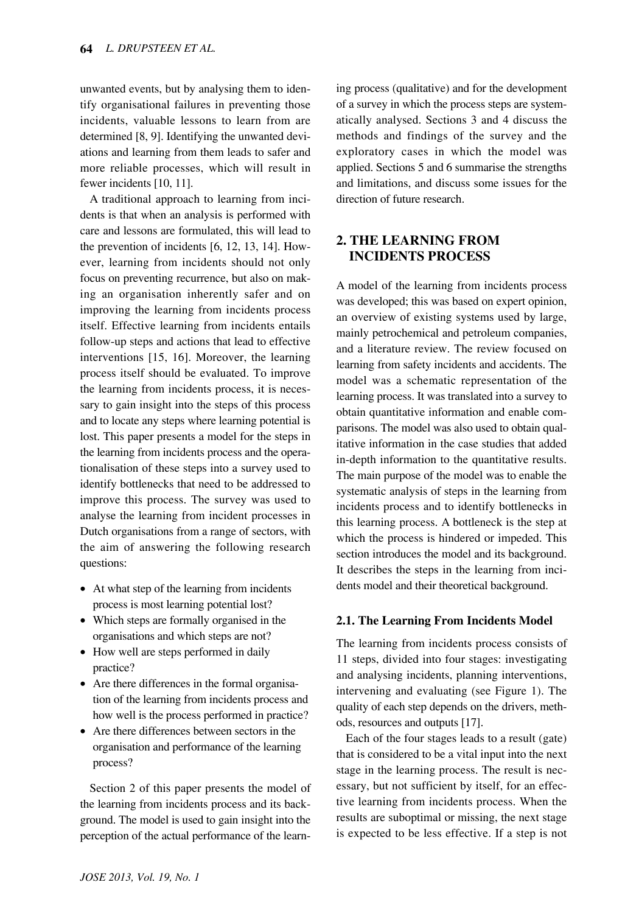unwanted events, but by analysing them to identify organisational failures in preventing those incidents, valuable lessons to learn from are determined [8, 9]. Identifying the unwanted deviations and learning from them leads to safer and more reliable processes, which will result in fewer incidents [10, 11].

A traditional approach to learning from incidents is that when an analysis is performed with care and lessons are formulated, this will lead to the prevention of incidents [6, 12, 13, 14]. However, learning from incidents should not only focus on preventing recurrence, but also on making an organisation inherently safer and on improving the learning from incidents process itself. Effective learning from incidents entails follow-up steps and actions that lead to effective interventions [15, 16]. Moreover, the learning process itself should be evaluated. To improve the learning from incidents process, it is necessary to gain insight into the steps of this process and to locate any steps where learning potential is lost. This paper presents a model for the steps in the learning from incidents process and the operationalisation of these steps into a survey used to identify bottlenecks that need to be addressed to improve this process. The survey was used to analyse the learning from incident processes in Dutch organisations from a range of sectors, with the aim of answering the following research questions:

- At what step of the learning from incidents process is most learning potential lost?
- Which steps are formally organised in the organisations and which steps are not?
- How well are steps performed in daily practice?
- Are there differences in the formal organisation of the learning from incidents process and how well is the process performed in practice?
- Are there differences between sectors in the organisation and performance of the learning process?

Section 2 of this paper presents the model of the learning from incidents process and its background. The model is used to gain insight into the perception of the actual performance of the learning process (qualitative) and for the development of a survey in which the process steps are systematically analysed. Sections 3 and 4 discuss the methods and findings of the survey and the exploratory cases in which the model was applied. Sections 5 and 6 summarise the strengths and limitations, and discuss some issues for the direction of future research.

# **2. THE LEARNING FROM INCIDENTS PROCESS**

A model of the learning from incidents process was developed; this was based on expert opinion, an overview of existing systems used by large, mainly petrochemical and petroleum companies, and a literature review. The review focused on learning from safety incidents and accidents. The model was a schematic representation of the learning process. It was translated into a survey to obtain quantitative information and enable comparisons. The model was also used to obtain qualitative information in the case studies that added in-depth information to the quantitative results. The main purpose of the model was to enable the systematic analysis of steps in the learning from incidents process and to identify bottlenecks in this learning process. A bottleneck is the step at which the process is hindered or impeded. This section introduces the model and its background. It describes the steps in the learning from incidents model and their theoretical background.

## **2.1. The Learning From Incidents Model**

The learning from incidents process consists of 11 steps, divided into four stages: investigating and analysing incidents, planning interventions, intervening and evaluating (see Figure 1). The quality of each step depends on the drivers, methods, resources and outputs [17].

Each of the four stages leads to a result (gate) that is considered to be a vital input into the next stage in the learning process. The result is necessary, but not sufficient by itself, for an effective learning from incidents process. When the results are suboptimal or missing, the next stage is expected to be less effective. If a step is not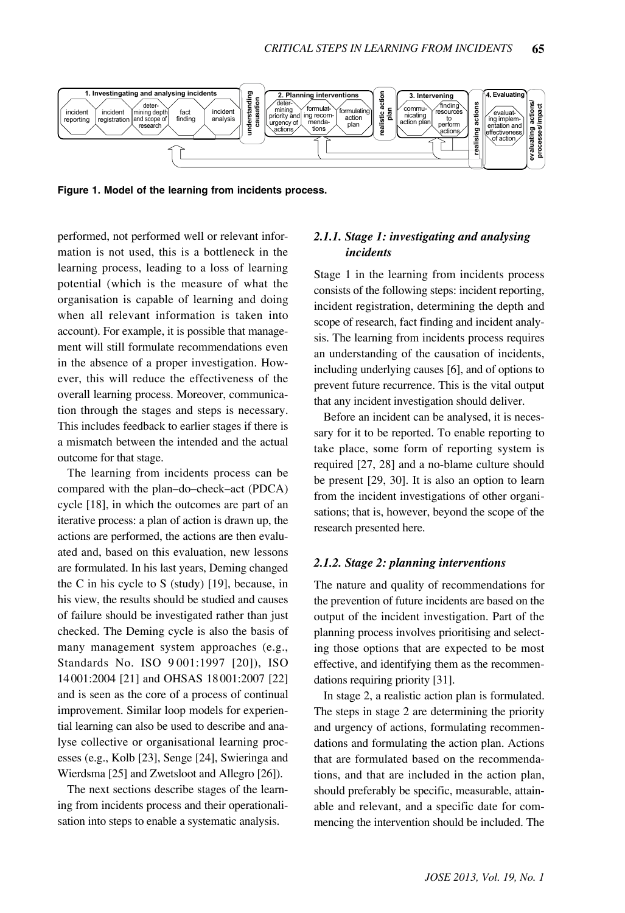

**Figure 1. Model of the learning from incidents process.**

performed, not performed well or relevant information is not used, this is a bottleneck in the learning process, leading to a loss of learning potential (which is the measure of what the organisation is capable of learning and doing when all relevant information is taken into account). For example, it is possible that management will still formulate recommendations even in the absence of a proper investigation. However, this will reduce the effectiveness of the overall learning process. Moreover, communication through the stages and steps is necessary. This includes feedback to earlier stages if there is a mismatch between the intended and the actual outcome for that stage.

The learning from incidents process can be compared with the plan–do–check–act (PDCA) cycle [18], in which the outcomes are part of an iterative process: a plan of action is drawn up, the actions are performed, the actions are then evaluated and, based on this evaluation, new lessons are formulated. In his last years, Deming changed the C in his cycle to S (study) [19], because, in his view, the results should be studied and causes of failure should be investigated rather than just checked. The Deming cycle is also the basis of many management system approaches (e.g., Standards No. ISO 9 001:1997 [20]), ISO 14 001:2004 [21] and OHSAS 18 001:2007 [22] and is seen as the core of a process of continual improvement. Similar loop models for experiential learning can also be used to describe and analyse collective or organisational learning processes (e.g., Kolb [23], Senge [24], Swieringa and Wierdsma [25] and Zwetsloot and Allegro [26]).

The next sections describe stages of the learning from incidents process and their operationalisation into steps to enable a systematic analysis.

## *2.1.1. Stage 1: investigating and analysing incidents*

Stage 1 in the learning from incidents process consists of the following steps: incident reporting, incident registration, determining the depth and scope of research, fact finding and incident analysis. The learning from incidents process requires an understanding of the causation of incidents, including underlying causes [6], and of options to prevent future recurrence. This is the vital output that any incident investigation should deliver.

Before an incident can be analysed, it is necessary for it to be reported. To enable reporting to take place, some form of reporting system is required [27, 28] and a no-blame culture should be present [29, 30]. It is also an option to learn from the incident investigations of other organisations; that is, however, beyond the scope of the research presented here.

#### *2.1.2. Stage 2: planning interventions*

The nature and quality of recommendations for the prevention of future incidents are based on the output of the incident investigation. Part of the planning process involves prioritising and selecting those options that are expected to be most effective, and identifying them as the recommendations requiring priority [31].

In stage 2, a realistic action plan is formulated. The steps in stage 2 are determining the priority and urgency of actions, formulating recommendations and formulating the action plan. Actions that are formulated based on the recommendations, and that are included in the action plan, should preferably be specific, measurable, attainable and relevant, and a specific date for commencing the intervention should be included. The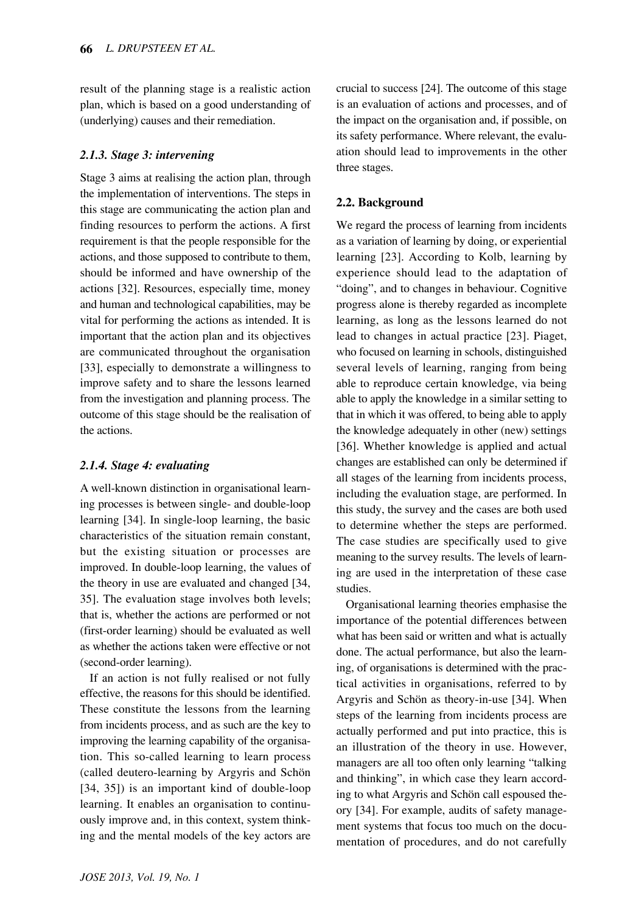result of the planning stage is a realistic action plan, which is based on a good understanding of (underlying) causes and their remediation.

## *2.1.3. Stage 3: intervening*

Stage 3 aims at realising the action plan, through the implementation of interventions. The steps in this stage are communicating the action plan and finding resources to perform the actions. A first requirement is that the people responsible for the actions, and those supposed to contribute to them, should be informed and have ownership of the actions [32]. Resources, especially time, money and human and technological capabilities, may be vital for performing the actions as intended. It is important that the action plan and its objectives are communicated throughout the organisation [33], especially to demonstrate a willingness to improve safety and to share the lessons learned from the investigation and planning process. The outcome of this stage should be the realisation of the actions.

# *2.1.4. Stage 4: evaluating*

A well-known distinction in organisational learning processes is between single- and double-loop learning [34]. In single-loop learning, the basic characteristics of the situation remain constant, but the existing situation or processes are improved. In double-loop learning, the values of the theory in use are evaluated and changed [34, 35]. The evaluation stage involves both levels; that is, whether the actions are performed or not (first-order learning) should be evaluated as well as whether the actions taken were effective or not (second-order learning).

If an action is not fully realised or not fully effective, the reasons for this should be identified. These constitute the lessons from the learning from incidents process, and as such are the key to improving the learning capability of the organisation. This so-called learning to learn process (called deutero-learning by Argyris and Schön [34, 35]) is an important kind of double-loop learning. It enables an organisation to continuously improve and, in this context, system thinking and the mental models of the key actors are crucial to success [24]. The outcome of this stage is an evaluation of actions and processes, and of the impact on the organisation and, if possible, on its safety performance. Where relevant, the evaluation should lead to improvements in the other three stages.

## **2.2. Background**

We regard the process of learning from incidents as a variation of learning by doing, or experiential learning [23]. According to Kolb, learning by experience should lead to the adaptation of "doing", and to changes in behaviour. Cognitive progress alone is thereby regarded as incomplete learning, as long as the lessons learned do not lead to changes in actual practice [23]. Piaget, who focused on learning in schools, distinguished several levels of learning, ranging from being able to reproduce certain knowledge, via being able to apply the knowledge in a similar setting to that in which it was offered, to being able to apply the knowledge adequately in other (new) settings [36]. Whether knowledge is applied and actual changes are established can only be determined if all stages of the learning from incidents process, including the evaluation stage, are performed. In this study, the survey and the cases are both used to determine whether the steps are performed. The case studies are specifically used to give meaning to the survey results. The levels of learning are used in the interpretation of these case studies.

Organisational learning theories emphasise the importance of the potential differences between what has been said or written and what is actually done. The actual performance, but also the learning, of organisations is determined with the practical activities in organisations, referred to by Argyris and Schön as theory-in-use [34]. When steps of the learning from incidents process are actually performed and put into practice, this is an illustration of the theory in use. However, managers are all too often only learning "talking and thinking", in which case they learn according to what Argyris and Schön call espoused theory [34]. For example, audits of safety management systems that focus too much on the documentation of procedures, and do not carefully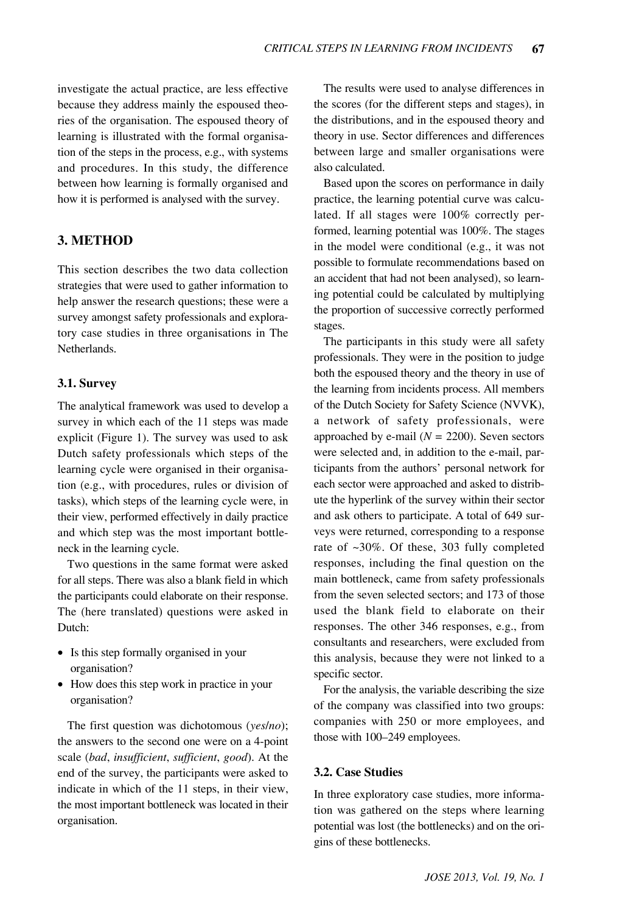investigate the actual practice, are less effective because they address mainly the espoused theories of the organisation. The espoused theory of learning is illustrated with the formal organisation of the steps in the process, e.g., with systems and procedures. In this study, the difference between how learning is formally organised and how it is performed is analysed with the survey.

## **3. METHOD**

This section describes the two data collection strategies that were used to gather information to help answer the research questions; these were a survey amongst safety professionals and exploratory case studies in three organisations in The Netherlands.

#### **3.1. Survey**

The analytical framework was used to develop a survey in which each of the 11 steps was made explicit (Figure 1). The survey was used to ask Dutch safety professionals which steps of the learning cycle were organised in their organisation (e.g., with procedures, rules or division of tasks), which steps of the learning cycle were, in their view, performed effectively in daily practice and which step was the most important bottleneck in the learning cycle.

Two questions in the same format were asked for all steps. There was also a blank field in which the participants could elaborate on their response. The (here translated) questions were asked in Dutch:

- Is this step formally organised in your organisation?
- How does this step work in practice in your organisation?

The first question was dichotomous (*yes*/*no*); the answers to the second one were on a 4-point scale (*bad*, *insufficient*, *sufficient*, *good*). At the end of the survey, the participants were asked to indicate in which of the 11 steps, in their view, the most important bottleneck was located in their organisation.

The results were used to analyse differences in the scores (for the different steps and stages), in the distributions, and in the espoused theory and theory in use. Sector differences and differences between large and smaller organisations were also calculated.

Based upon the scores on performance in daily practice, the learning potential curve was calculated. If all stages were 100% correctly performed, learning potential was 100%. The stages in the model were conditional (e.g., it was not possible to formulate recommendations based on an accident that had not been analysed), so learning potential could be calculated by multiplying the proportion of successive correctly performed stages.

The participants in this study were all safety professionals. They were in the position to judge both the espoused theory and the theory in use of the learning from incidents process. All members of the Dutch Society for Safety Science (NVVK), a network of safety professionals, were approached by e-mail  $(N = 2200)$ . Seven sectors were selected and, in addition to the e-mail, participants from the authors' personal network for each sector were approached and asked to distribute the hyperlink of the survey within their sector and ask others to participate. A total of 649 surveys were returned, corresponding to a response rate of ~30%. Of these, 303 fully completed responses, including the final question on the main bottleneck, came from safety professionals from the seven selected sectors; and 173 of those used the blank field to elaborate on their responses. The other 346 responses, e.g., from consultants and researchers, were excluded from this analysis, because they were not linked to a specific sector.

For the analysis, the variable describing the size of the company was classified into two groups: companies with 250 or more employees, and those with 100–249 employees.

#### **3.2. Case Studies**

In three exploratory case studies, more information was gathered on the steps where learning potential was lost (the bottlenecks) and on the origins of these bottlenecks.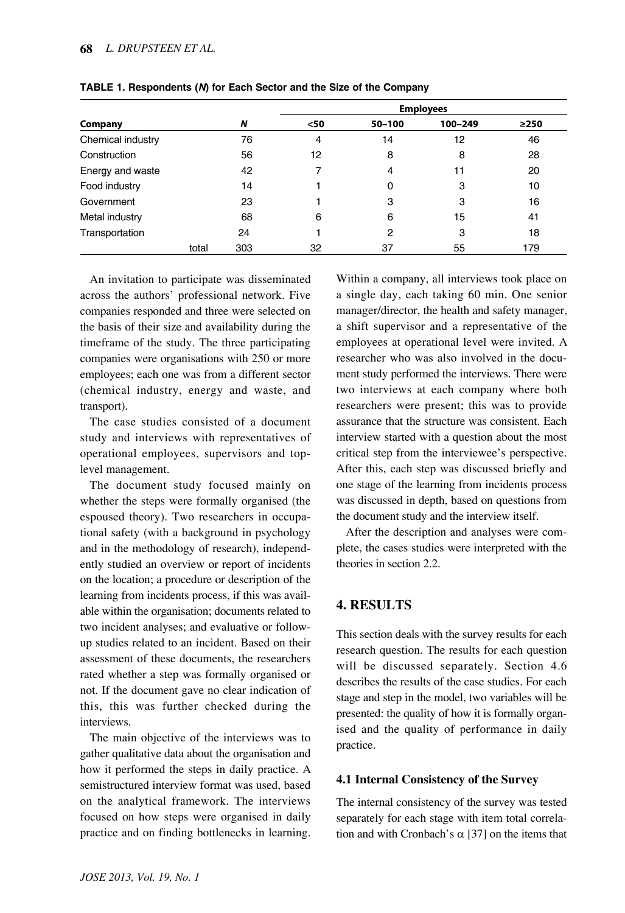|                   |       |     | <b>Employees</b> |            |         |            |  |  |  |
|-------------------|-------|-----|------------------|------------|---------|------------|--|--|--|
| Company           |       | N   | $50$             | $50 - 100$ | 100-249 | $\geq$ 250 |  |  |  |
| Chemical industry |       | 76  | 4                | 14         | 12      | 46         |  |  |  |
| Construction      |       | 56  | 12               | 8          | 8       | 28         |  |  |  |
| Energy and waste  |       | 42  |                  | 4          | 11      | 20         |  |  |  |
| Food industry     |       | 14  |                  | 0          | 3       | 10         |  |  |  |
| Government        |       | 23  |                  | 3          | 3       | 16         |  |  |  |
| Metal industry    |       | 68  | 6                | 6          | 15      | 41         |  |  |  |
| Transportation    |       | 24  |                  | 2          | 3       | 18         |  |  |  |
|                   | total | 303 | 32               | 37         | 55      | 179        |  |  |  |

**TABLE 1. Respondents (***N***) for Each Sector and the Size of the Company**

An invitation to participate was disseminated across the authors' professional network. Five companies responded and three were selected on the basis of their size and availability during the timeframe of the study. The three participating companies were organisations with 250 or more employees; each one was from a different sector (chemical industry, energy and waste, and transport).

The case studies consisted of a document study and interviews with representatives of operational employees, supervisors and toplevel management.

The document study focused mainly on whether the steps were formally organised (the espoused theory). Two researchers in occupational safety (with a background in psychology and in the methodology of research), independently studied an overview or report of incidents on the location; a procedure or description of the learning from incidents process, if this was available within the organisation; documents related to two incident analyses; and evaluative or followup studies related to an incident. Based on their assessment of these documents, the researchers rated whether a step was formally organised or not. If the document gave no clear indication of this, this was further checked during the interviews.

The main objective of the interviews was to gather qualitative data about the organisation and how it performed the steps in daily practice. A semistructured interview format was used, based on the analytical framework. The interviews focused on how steps were organised in daily practice and on finding bottlenecks in learning. Within a company, all interviews took place on a single day, each taking 60 min. One senior manager/director, the health and safety manager, a shift supervisor and a representative of the employees at operational level were invited. A researcher who was also involved in the document study performed the interviews. There were two interviews at each company where both researchers were present; this was to provide assurance that the structure was consistent. Each interview started with a question about the most critical step from the interviewee's perspective. After this, each step was discussed briefly and one stage of the learning from incidents process was discussed in depth, based on questions from the document study and the interview itself.

After the description and analyses were complete, the cases studies were interpreted with the theories in section 2.2.

## **4. RESULTS**

This section deals with the survey results for each research question. The results for each question will be discussed separately. Section 4.6 describes the results of the case studies. For each stage and step in the model, two variables will be presented: the quality of how it is formally organised and the quality of performance in daily practice.

#### **4.1 Internal Consistency of the Survey**

The internal consistency of the survey was tested separately for each stage with item total correlation and with Cronbach's  $\alpha$  [37] on the items that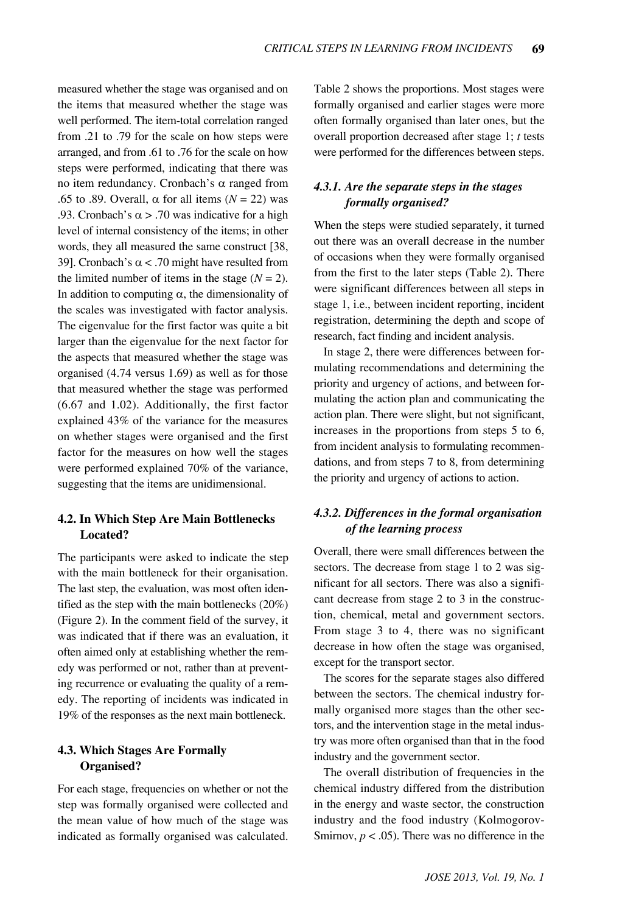measured whether the stage was organised and on the items that measured whether the stage was well performed. The item-total correlation ranged from .21 to .79 for the scale on how steps were arranged, and from .61 to .76 for the scale on how steps were performed, indicating that there was no item redundancy. Cronbach's α ranged from .65 to .89. Overall,  $\alpha$  for all items ( $N = 22$ ) was .93. Cronbach's  $\alpha$  > .70 was indicative for a high level of internal consistency of the items; in other words, they all measured the same construct [38, 39]. Cronbach's  $\alpha$  < .70 might have resulted from the limited number of items in the stage  $(N = 2)$ . In addition to computing  $\alpha$ , the dimensionality of the scales was investigated with factor analysis. The eigenvalue for the first factor was quite a bit larger than the eigenvalue for the next factor for the aspects that measured whether the stage was organised (4.74 versus 1.69) as well as for those that measured whether the stage was performed (6.67 and 1.02). Additionally, the first factor explained 43% of the variance for the measures on whether stages were organised and the first factor for the measures on how well the stages were performed explained 70% of the variance, suggesting that the items are unidimensional.

## **4.2. In Which Step Are Main Bottlenecks Located?**

The participants were asked to indicate the step with the main bottleneck for their organisation. The last step, the evaluation, was most often identified as the step with the main bottlenecks (20%) (Figure 2). In the comment field of the survey, it was indicated that if there was an evaluation, it often aimed only at establishing whether the remedy was performed or not, rather than at preventing recurrence or evaluating the quality of a remedy. The reporting of incidents was indicated in 19% of the responses as the next main bottleneck.

## **4.3. Which Stages Are Formally Organised?**

For each stage, frequencies on whether or not the step was formally organised were collected and the mean value of how much of the stage was indicated as formally organised was calculated.

Table 2 shows the proportions. Most stages were formally organised and earlier stages were more often formally organised than later ones, but the overall proportion decreased after stage 1; *t* tests were performed for the differences between steps.

## *4.3.1. Are the separate steps in the stages formally organised?*

When the steps were studied separately, it turned out there was an overall decrease in the number of occasions when they were formally organised from the first to the later steps (Table 2). There were significant differences between all steps in stage 1, i.e., between incident reporting, incident registration, determining the depth and scope of research, fact finding and incident analysis.

In stage 2, there were differences between formulating recommendations and determining the priority and urgency of actions, and between formulating the action plan and communicating the action plan. There were slight, but not significant, increases in the proportions from steps 5 to 6, from incident analysis to formulating recommendations, and from steps 7 to 8, from determining the priority and urgency of actions to action.

## *4.3.2. Differences in the formal organisation of the learning process*

Overall, there were small differences between the sectors. The decrease from stage 1 to 2 was significant for all sectors. There was also a significant decrease from stage 2 to 3 in the construction, chemical, metal and government sectors. From stage 3 to 4, there was no significant decrease in how often the stage was organised, except for the transport sector.

The scores for the separate stages also differed between the sectors. The chemical industry formally organised more stages than the other sectors, and the intervention stage in the metal industry was more often organised than that in the food industry and the government sector.

The overall distribution of frequencies in the chemical industry differed from the distribution in the energy and waste sector, the construction industry and the food industry (Kolmogorov-Smirnov,  $p < .05$ ). There was no difference in the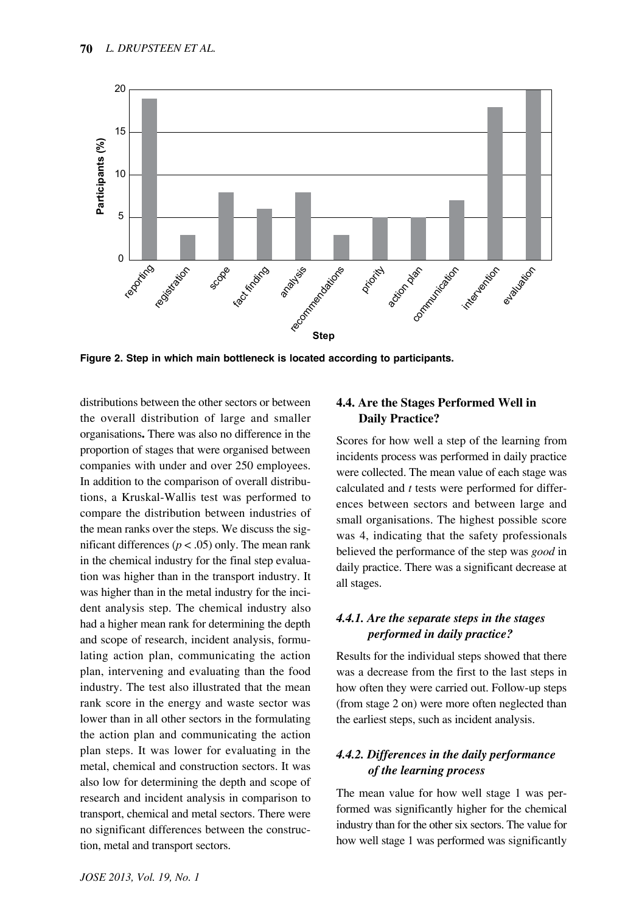

**Figure 2. Step in which main bottleneck is located according to participants.**

distributions between the other sectors or between the overall distribution of large and smaller organisations**.** There was also no difference in the proportion of stages that were organised between companies with under and over 250 employees. In addition to the comparison of overall distributions, a Kruskal-Wallis test was performed to compare the distribution between industries of the mean ranks over the steps. We discuss the significant differences ( $p < .05$ ) only. The mean rank in the chemical industry for the final step evaluation was higher than in the transport industry. It was higher than in the metal industry for the incident analysis step. The chemical industry also had a higher mean rank for determining the depth and scope of research, incident analysis, formulating action plan, communicating the action plan, intervening and evaluating than the food industry. The test also illustrated that the mean rank score in the energy and waste sector was lower than in all other sectors in the formulating the action plan and communicating the action plan steps. It was lower for evaluating in the metal, chemical and construction sectors. It was also low for determining the depth and scope of research and incident analysis in comparison to transport, chemical and metal sectors. There were no significant differences between the construction, metal and transport sectors.

## **4.4. Are the Stages Performed Well in Daily Practice?**

Scores for how well a step of the learning from incidents process was performed in daily practice were collected. The mean value of each stage was calculated and *t* tests were performed for differences between sectors and between large and small organisations. The highest possible score was 4, indicating that the safety professionals believed the performance of the step was *good* in daily practice. There was a significant decrease at all stages.

## *4.4.1. Are the separate steps in the stages performed in daily practice?*

Results for the individual steps showed that there was a decrease from the first to the last steps in how often they were carried out. Follow-up steps (from stage 2 on) were more often neglected than the earliest steps, such as incident analysis.

# *4.4.2. Differences in the daily performance of the learning process*

The mean value for how well stage 1 was performed was significantly higher for the chemical industry than for the other six sectors. The value for how well stage 1 was performed was significantly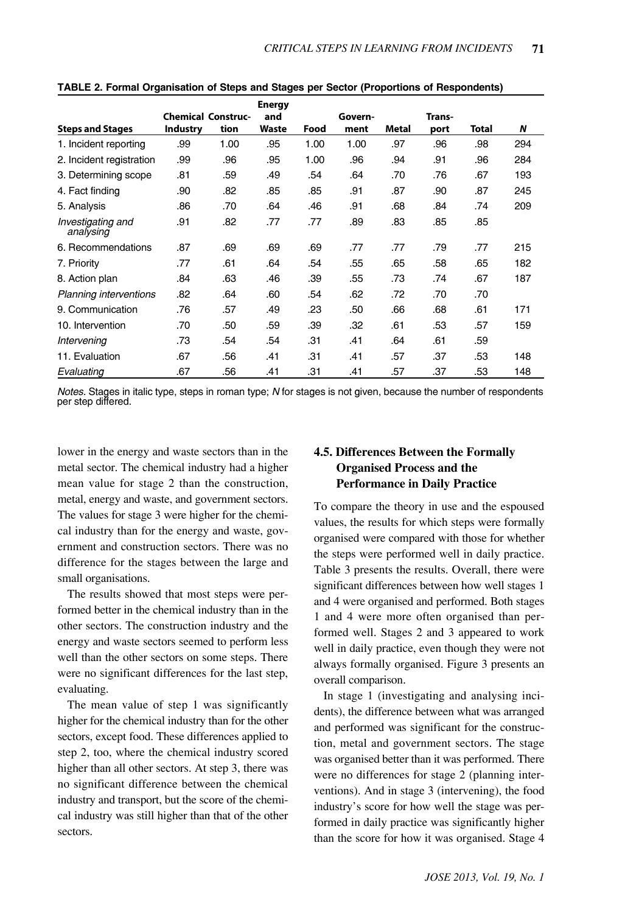|                                |                           |      | <b>Energy</b> |      |         |       |        |       |     |
|--------------------------------|---------------------------|------|---------------|------|---------|-------|--------|-------|-----|
|                                | <b>Chemical Construc-</b> |      | and           |      | Govern- |       | Trans- |       |     |
| <b>Steps and Stages</b>        | <b>Industry</b>           | tion | <b>Waste</b>  | Food | ment    | Metal | port   | Total | N   |
| 1. Incident reporting          | .99                       | 1.00 | .95           | 1.00 | 1.00    | .97   | .96    | .98   | 294 |
| 2. Incident registration       | .99                       | .96  | .95           | 1.00 | .96     | .94   | .91    | .96   | 284 |
| 3. Determining scope           | .81                       | .59  | .49           | .54  | .64     | .70   | .76    | .67   | 193 |
| 4. Fact finding                | .90                       | .82  | .85           | .85  | .91     | .87   | .90    | .87   | 245 |
| 5. Analysis                    | .86                       | .70  | .64           | .46  | .91     | .68   | .84    | .74   | 209 |
| Investigating and<br>analysing | .91                       | .82  | .77           | .77  | .89     | .83   | .85    | .85   |     |
| 6. Recommendations             | .87                       | .69  | .69           | .69  | .77     | .77   | .79    | .77   | 215 |
| 7. Priority                    | .77                       | .61  | .64           | .54  | .55     | .65   | .58    | .65   | 182 |
| 8. Action plan                 | .84                       | .63  | .46           | .39  | .55     | .73   | .74    | .67   | 187 |
| <b>Planning interventions</b>  | .82                       | .64  | .60           | .54  | .62     | .72   | .70    | .70   |     |
| 9. Communication               | .76                       | .57  | .49           | .23  | .50     | .66   | .68    | .61   | 171 |
| 10. Intervention               | .70                       | .50  | .59           | .39  | .32     | .61   | .53    | .57   | 159 |
| Intervening                    | .73                       | .54  | .54           | .31  | .41     | .64   | .61    | .59   |     |
| 11. Evaluation                 | .67                       | .56  | .41           | .31  | .41     | .57   | .37    | .53   | 148 |
| Evaluating                     | .67                       | .56  | .41           | .31  | .41     | .57   | .37    | .53   | 148 |

**TABLE 2. Formal Organisation of Steps and Stages per Sector (Proportions of Respondents)**

*Notes.* Stages in italic type, steps in roman type; *N* for stages is not given, because the number of respondents per step differed.

lower in the energy and waste sectors than in the metal sector. The chemical industry had a higher mean value for stage 2 than the construction, metal, energy and waste, and government sectors. The values for stage 3 were higher for the chemical industry than for the energy and waste, government and construction sectors. There was no difference for the stages between the large and small organisations.

The results showed that most steps were performed better in the chemical industry than in the other sectors. The construction industry and the energy and waste sectors seemed to perform less well than the other sectors on some steps. There were no significant differences for the last step, evaluating.

The mean value of step 1 was significantly higher for the chemical industry than for the other sectors, except food. These differences applied to step 2, too, where the chemical industry scored higher than all other sectors. At step 3, there was no significant difference between the chemical industry and transport, but the score of the chemical industry was still higher than that of the other sectors.

## **4.5. Differences Between the Formally Organised Process and the Performance in Daily Practice**

To compare the theory in use and the espoused values, the results for which steps were formally organised were compared with those for whether the steps were performed well in daily practice. Table 3 presents the results. Overall, there were significant differences between how well stages 1 and 4 were organised and performed. Both stages 1 and 4 were more often organised than performed well. Stages 2 and 3 appeared to work well in daily practice, even though they were not always formally organised. Figure 3 presents an overall comparison.

In stage 1 (investigating and analysing incidents), the difference between what was arranged and performed was significant for the construction, metal and government sectors. The stage was organised better than it was performed. There were no differences for stage 2 (planning interventions). And in stage 3 (intervening), the food industry's score for how well the stage was performed in daily practice was significantly higher than the score for how it was organised. Stage 4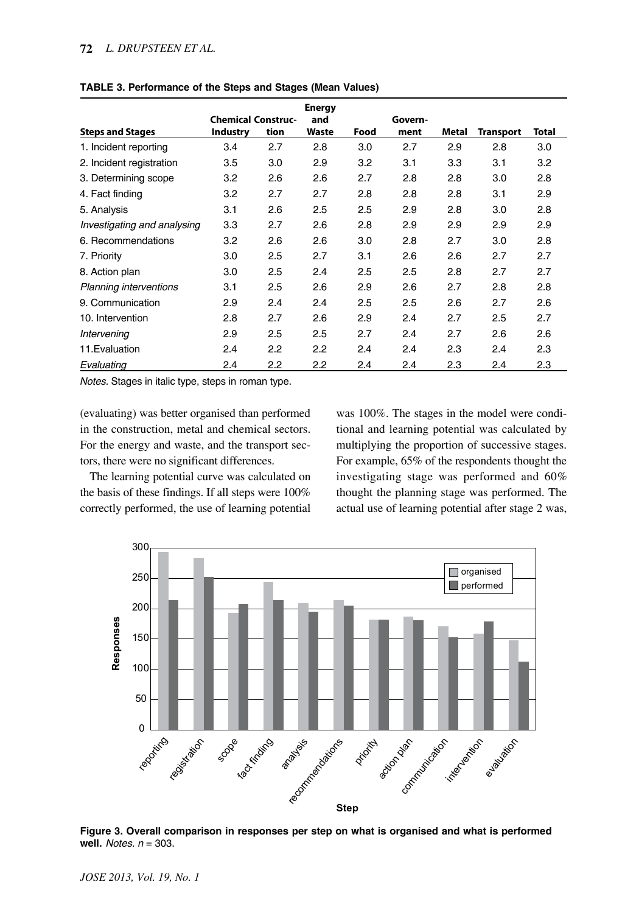#### **72** *L. DRUPSTEEN ET AL.*

|                               |                           |      | <b>Energy</b> |      |         |       |                  |              |
|-------------------------------|---------------------------|------|---------------|------|---------|-------|------------------|--------------|
|                               | <b>Chemical Construc-</b> |      | and           |      | Govern- |       |                  |              |
| <b>Steps and Stages</b>       | <b>Industry</b>           | tion | <b>Waste</b>  | Food | ment    | Metal | <b>Transport</b> | <b>Total</b> |
| 1. Incident reporting         | 3.4                       | 2.7  | 2.8           | 3.0  | 2.7     | 2.9   | 2.8              | 3.0          |
| 2. Incident registration      | 3.5                       | 3.0  | 2.9           | 3.2  | 3.1     | 3.3   | 3.1              | 3.2          |
| 3. Determining scope          | 3.2                       | 2.6  | 2.6           | 2.7  | 2.8     | 2.8   | 3.0              | 2.8          |
| 4. Fact finding               | 3.2                       | 2.7  | 2.7           | 2.8  | 2.8     | 2.8   | 3.1              | 2.9          |
| 5. Analysis                   | 3.1                       | 2.6  | 2.5           | 2.5  | 2.9     | 2.8   | 3.0              | 2.8          |
| Investigating and analysing   | 3.3                       | 2.7  | 2.6           | 2.8  | 2.9     | 2.9   | 2.9              | 2.9          |
| 6. Recommendations            | 3.2                       | 2.6  | 2.6           | 3.0  | 2.8     | 2.7   | 3.0              | 2.8          |
| 7. Priority                   | 3.0                       | 2.5  | 2.7           | 3.1  | 2.6     | 2.6   | 2.7              | 2.7          |
| 8. Action plan                | 3.0                       | 2.5  | 2.4           | 2.5  | 2.5     | 2.8   | 2.7              | 2.7          |
| <b>Planning interventions</b> | 3.1                       | 2.5  | 2.6           | 2.9  | 2.6     | 2.7   | 2.8              | 2.8          |
| 9. Communication              | 2.9                       | 2.4  | 2.4           | 2.5  | 2.5     | 2.6   | 2.7              | 2.6          |
| 10. Intervention              | 2.8                       | 2.7  | 2.6           | 2.9  | 2.4     | 2.7   | 2.5              | 2.7          |
| Intervening                   | 2.9                       | 2.5  | 2.5           | 2.7  | 2.4     | 2.7   | 2.6              | 2.6          |
| 11. Evaluation                | 2.4                       | 2.2  | 2.2           | 2.4  | 2.4     | 2.3   | 2.4              | 2.3          |
| Evaluating                    | 2.4                       | 2.2  | 2.2           | 2.4  | 2.4     | 2.3   | 2.4              | 2.3          |

**TABLE 3. Performance of the Steps and Stages (Mean Values)** 

*Notes.* Stages in italic type, steps in roman type.

(evaluating) was better organised than performed in the construction, metal and chemical sectors. For the energy and waste, and the transport sectors, there were no significant differences.

The learning potential curve was calculated on the basis of these findings. If all steps were 100% correctly performed, the use of learning potential

was 100%. The stages in the model were conditional and learning potential was calculated by multiplying the proportion of successive stages. For example, 65% of the respondents thought the investigating stage was performed and 60% thought the planning stage was performed. The actual use of learning potential after stage 2 was,



**Figure 3. Overall comparison in responses per step on what is organised and what is performed well.** *Notes. n* = 303.

*JOSE 2013, Vol. 19, No. 1*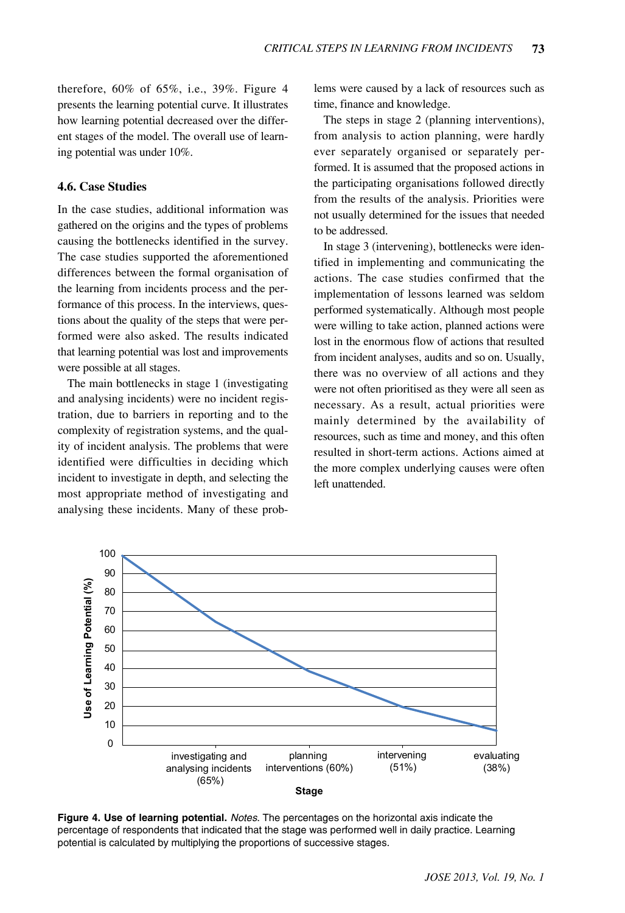therefore, 60% of 65%, i.e., 39%. Figure 4 presents the learning potential curve. It illustrates how learning potential decreased over the different stages of the model. The overall use of learning potential was under 10%.

## **4.6. Case Studies**

In the case studies, additional information was gathered on the origins and the types of problems causing the bottlenecks identified in the survey. The case studies supported the aforementioned differences between the formal organisation of the learning from incidents process and the performance of this process. In the interviews, questions about the quality of the steps that were performed were also asked. The results indicated that learning potential was lost and improvements were possible at all stages.

The main bottlenecks in stage 1 (investigating and analysing incidents) were no incident registration, due to barriers in reporting and to the complexity of registration systems, and the quality of incident analysis. The problems that were identified were difficulties in deciding which incident to investigate in depth, and selecting the most appropriate method of investigating and analysing these incidents. Many of these problems were caused by a lack of resources such as time, finance and knowledge.

The steps in stage 2 (planning interventions), from analysis to action planning, were hardly ever separately organised or separately performed. It is assumed that the proposed actions in the participating organisations followed directly from the results of the analysis. Priorities were not usually determined for the issues that needed to be addressed.

In stage 3 (intervening), bottlenecks were identified in implementing and communicating the actions. The case studies confirmed that the implementation of lessons learned was seldom performed systematically. Although most people were willing to take action, planned actions were lost in the enormous flow of actions that resulted from incident analyses, audits and so on. Usually, there was no overview of all actions and they were not often prioritised as they were all seen as necessary. As a result, actual priorities were mainly determined by the availability of resources, such as time and money, and this often resulted in short-term actions. Actions aimed at the more complex underlying causes were often left unattended.



**Figure 4. Use of learning potential.** *Notes*. The percentages on the horizontal axis indicate the percentage of respondents that indicated that the stage was performed well in daily practice. Learning potential is calculated by multiplying the proportions of successive stages.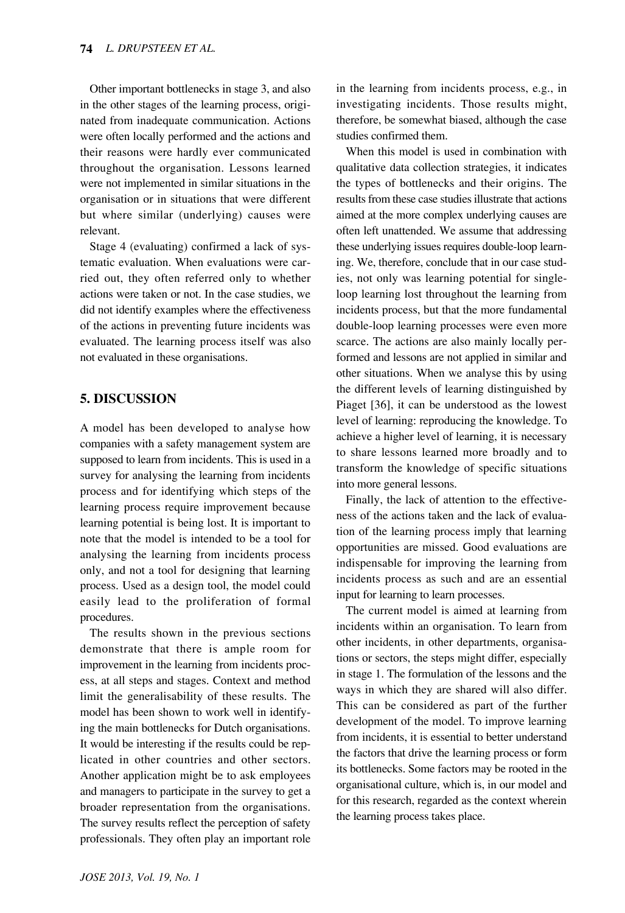Other important bottlenecks in stage 3, and also in the other stages of the learning process, originated from inadequate communication. Actions were often locally performed and the actions and their reasons were hardly ever communicated throughout the organisation. Lessons learned were not implemented in similar situations in the organisation or in situations that were different but where similar (underlying) causes were relevant.

Stage 4 (evaluating) confirmed a lack of systematic evaluation. When evaluations were carried out, they often referred only to whether actions were taken or not. In the case studies, we did not identify examples where the effectiveness of the actions in preventing future incidents was evaluated. The learning process itself was also not evaluated in these organisations.

## **5. DISCUSSION**

A model has been developed to analyse how companies with a safety management system are supposed to learn from incidents. This is used in a survey for analysing the learning from incidents process and for identifying which steps of the learning process require improvement because learning potential is being lost. It is important to note that the model is intended to be a tool for analysing the learning from incidents process only, and not a tool for designing that learning process. Used as a design tool, the model could easily lead to the proliferation of formal procedures.

The results shown in the previous sections demonstrate that there is ample room for improvement in the learning from incidents process, at all steps and stages. Context and method limit the generalisability of these results. The model has been shown to work well in identifying the main bottlenecks for Dutch organisations. It would be interesting if the results could be replicated in other countries and other sectors. Another application might be to ask employees and managers to participate in the survey to get a broader representation from the organisations. The survey results reflect the perception of safety professionals. They often play an important role in the learning from incidents process, e.g., in investigating incidents. Those results might, therefore, be somewhat biased, although the case studies confirmed them.

When this model is used in combination with qualitative data collection strategies, it indicates the types of bottlenecks and their origins. The results from these case studies illustrate that actions aimed at the more complex underlying causes are often left unattended. We assume that addressing these underlying issues requires double-loop learning. We, therefore, conclude that in our case studies, not only was learning potential for singleloop learning lost throughout the learning from incidents process, but that the more fundamental double-loop learning processes were even more scarce. The actions are also mainly locally performed and lessons are not applied in similar and other situations. When we analyse this by using the different levels of learning distinguished by Piaget [36], it can be understood as the lowest level of learning: reproducing the knowledge. To achieve a higher level of learning, it is necessary to share lessons learned more broadly and to transform the knowledge of specific situations into more general lessons.

Finally, the lack of attention to the effectiveness of the actions taken and the lack of evaluation of the learning process imply that learning opportunities are missed. Good evaluations are indispensable for improving the learning from incidents process as such and are an essential input for learning to learn processes.

The current model is aimed at learning from incidents within an organisation. To learn from other incidents, in other departments, organisations or sectors, the steps might differ, especially in stage 1. The formulation of the lessons and the ways in which they are shared will also differ. This can be considered as part of the further development of the model. To improve learning from incidents, it is essential to better understand the factors that drive the learning process or form its bottlenecks. Some factors may be rooted in the organisational culture, which is, in our model and for this research, regarded as the context wherein the learning process takes place.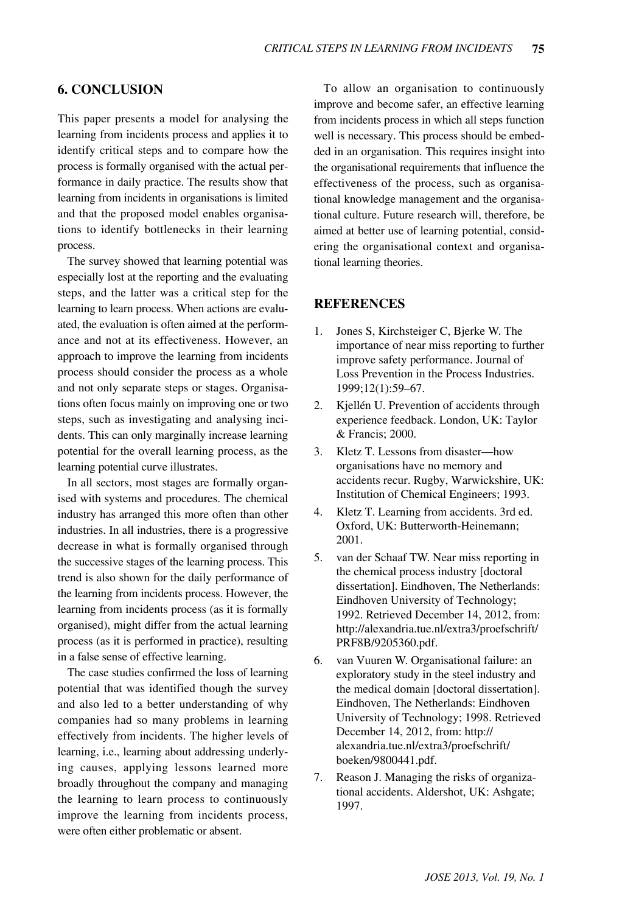## **6. CONCLUSION**

This paper presents a model for analysing the learning from incidents process and applies it to identify critical steps and to compare how the process is formally organised with the actual performance in daily practice. The results show that learning from incidents in organisations is limited and that the proposed model enables organisations to identify bottlenecks in their learning process.

The survey showed that learning potential was especially lost at the reporting and the evaluating steps, and the latter was a critical step for the learning to learn process. When actions are evaluated, the evaluation is often aimed at the performance and not at its effectiveness. However, an approach to improve the learning from incidents process should consider the process as a whole and not only separate steps or stages. Organisations often focus mainly on improving one or two steps, such as investigating and analysing incidents. This can only marginally increase learning potential for the overall learning process, as the learning potential curve illustrates.

In all sectors, most stages are formally organised with systems and procedures. The chemical industry has arranged this more often than other industries. In all industries, there is a progressive decrease in what is formally organised through the successive stages of the learning process. This trend is also shown for the daily performance of the learning from incidents process. However, the learning from incidents process (as it is formally organised), might differ from the actual learning process (as it is performed in practice), resulting in a false sense of effective learning.

The case studies confirmed the loss of learning potential that was identified though the survey and also led to a better understanding of why companies had so many problems in learning effectively from incidents. The higher levels of learning, i.e., learning about addressing underlying causes, applying lessons learned more broadly throughout the company and managing the learning to learn process to continuously improve the learning from incidents process, were often either problematic or absent.

To allow an organisation to continuously improve and become safer, an effective learning from incidents process in which all steps function well is necessary. This process should be embedded in an organisation. This requires insight into the organisational requirements that influence the effectiveness of the process, such as organisational knowledge management and the organisational culture. Future research will, therefore, be aimed at better use of learning potential, considering the organisational context and organisational learning theories.

#### **REFERENCES**

- 1. Jones S, Kirchsteiger C, Bjerke W. The importance of near miss reporting to further improve safety performance. Journal of Loss Prevention in the Process Industries. 1999;12(1):59–67.
- 2. Kjellén U. Prevention of accidents through experience feedback. London, UK: Taylor & Francis; 2000.
- 3. Kletz T. Lessons from disaster—how organisations have no memory and accidents recur. Rugby, Warwickshire, UK: Institution of Chemical Engineers; 1993.
- 4. Kletz T. Learning from accidents. 3rd ed. Oxford, UK: Butterworth-Heinemann; 2001.
- 5. van der Schaaf TW. Near miss reporting in the chemical process industry [doctoral dissertation]. Eindhoven, The Netherlands: Eindhoven University of Technology; 1992. Retrieved December 14, 2012, from: [http://alexandria.tue.nl/extra3/proefschrift/](http://alexandria.tue.nl/extra3/proefschrift/PRF8B/9205360.pdf) [PRF8B/9205360.pdf.](http://alexandria.tue.nl/extra3/proefschrift/PRF8B/9205360.pdf)
- 6. van Vuuren W. Organisational failure: an exploratory study in the steel industry and the medical domain [doctoral dissertation]. Eindhoven, The Netherlands: Eindhoven University of Technology; 1998. Retrieved December 14, 2012, from: [http://](http://alexandria.tue.nl/extra3/proefschrift/boeken/9800441.pdf) [alexandria.tue.nl/extra3/proefschrift/](http://alexandria.tue.nl/extra3/proefschrift/boeken/9800441.pdf) [boeken/9800441.pdf](http://alexandria.tue.nl/extra3/proefschrift/boeken/9800441.pdf).
- 7. Reason J. Managing the risks of organizational accidents. Aldershot, UK: Ashgate; 1997.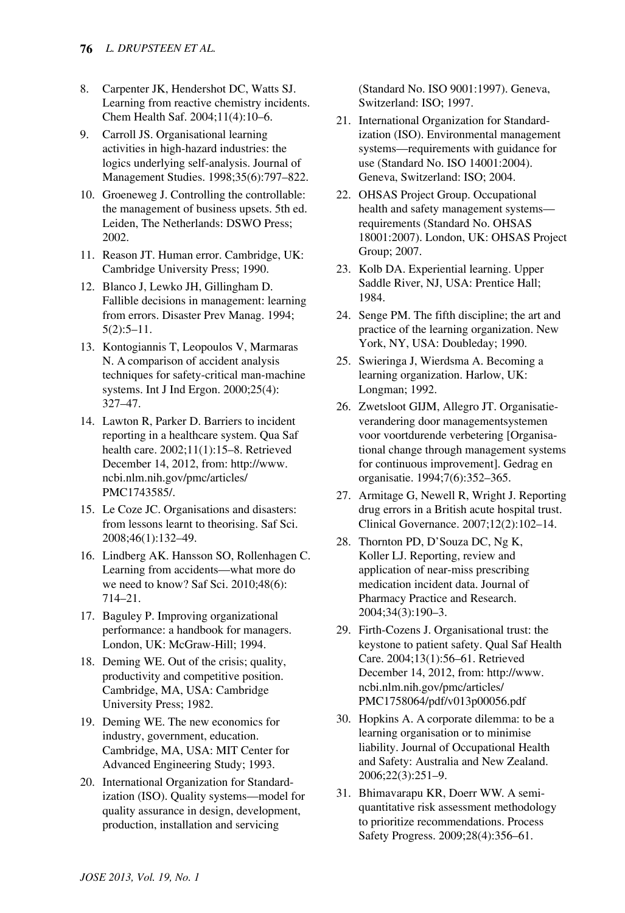- 8. Carpenter JK, Hendershot DC, Watts SJ. Learning from reactive chemistry incidents. Chem Health Saf. 2004;11(4):10–6.
- 9. Carroll JS. Organisational learning activities in high-hazard industries: the logics underlying self-analysis. Journal of Management Studies. 1998;35(6):797–822.
- 10. Groeneweg J. Controlling the controllable: the management of business upsets. 5th ed. Leiden, The Netherlands: DSWO Press; 2002.
- 11. Reason JT. Human error. Cambridge, UK: Cambridge University Press; 1990.
- 12. Blanco J, Lewko JH, Gillingham D. Fallible decisions in management: learning from errors. Disaster Prev Manag. 1994; 5(2):5–11.
- 13. Kontogiannis T, Leopoulos V, Marmaras N. A comparison of accident analysis techniques for safety-critical man-machine systems. Int J Ind Ergon. 2000;25(4): 327–47.
- 14. Lawton R, Parker D. Barriers to incident reporting in a healthcare system. Qua Saf health care. 2002;11(1):15–8. Retrieved December 14, 2012, from: [http://www.](http://www.ncbi.nlm.nih.gov/pmc/articles/PMC1743585/) [ncbi.nlm.nih.gov/pmc/articles/](http://www.ncbi.nlm.nih.gov/pmc/articles/PMC1743585/) [PMC1743585/.](http://www.ncbi.nlm.nih.gov/pmc/articles/PMC1743585/)
- 15. Le Coze JC. Organisations and disasters: from lessons learnt to theorising. Saf Sci. 2008;46(1):132–49.
- 16. Lindberg AK. Hansson SO, Rollenhagen C. Learning from accidents—what more do we need to know? Saf Sci. 2010;48(6): 714–21.
- 17. Baguley P. Improving organizational performance: a handbook for managers. London, UK: McGraw-Hill; 1994.
- 18. Deming WE. Out of the crisis; quality, productivity and competitive position. Cambridge, MA, USA: Cambridge University Press; 1982.
- 19. Deming WE. The new economics for industry, government, education. Cambridge, MA, USA: MIT Center for Advanced Engineering Study; 1993.
- 20. International Organization for Standardization (ISO). Quality systems—model for quality assurance in design, development, production, installation and servicing

(Standard No. ISO 9001:1997). Geneva, Switzerland: ISO; 1997.

- 21. International Organization for Standardization (ISO). Environmental management systems—requirements with guidance for use (Standard No. ISO 14001:2004). Geneva, Switzerland: ISO; 2004.
- 22. OHSAS Project Group. Occupational health and safety management systems requirements (Standard No. OHSAS 18001:2007). London, UK: OHSAS Project Group; 2007.
- 23. Kolb DA. Experiential learning. Upper Saddle River, NJ, USA: Prentice Hall; 1984.
- 24. Senge PM. The fifth discipline; the art and practice of the learning organization. New York, NY, USA: Doubleday; 1990.
- 25. Swieringa J, Wierdsma A. Becoming a learning organization. Harlow, UK: Longman; 1992.
- 26. Zwetsloot GIJM, Allegro JT. Organisatieverandering door managementsystemen voor voortdurende verbetering [Organisational change through management systems for continuous improvement]. Gedrag en organisatie. 1994;7(6):352–365.
- 27. Armitage G, Newell R, Wright J. Reporting drug errors in a British acute hospital trust. Clinical Governance. 2007;12(2):102–14.
- 28. Thornton PD, D'Souza DC, Ng K, Koller LJ. Reporting, review and application of near-miss prescribing medication incident data. Journal of Pharmacy Practice and Research. 2004;34(3):190–3.
- 29. Firth-Cozens J. Organisational trust: the keystone to patient safety. Qual Saf Health Care. 2004;13(1):56–61. Retrieved December 14, 2012, from: [http://www.](http://www.ncbi.nlm.nih.gov/pmc/articles/PMC1758064/pdf/v013p00056.pdf) [ncbi.nlm.nih.gov/pmc/articles/](http://www.ncbi.nlm.nih.gov/pmc/articles/PMC1758064/pdf/v013p00056.pdf) [PMC1758064/pdf/v013p00056.pdf](http://www.ncbi.nlm.nih.gov/pmc/articles/PMC1758064/pdf/v013p00056.pdf)
- 30. Hopkins A. A corporate dilemma: to be a learning organisation or to minimise liability. Journal of Occupational Health and Safety: Australia and New Zealand. 2006;22(3):251–9.
- 31. Bhimavarapu KR, Doerr WW. A semiquantitative risk assessment methodology to prioritize recommendations. Process Safety Progress. 2009;28(4):356–61.